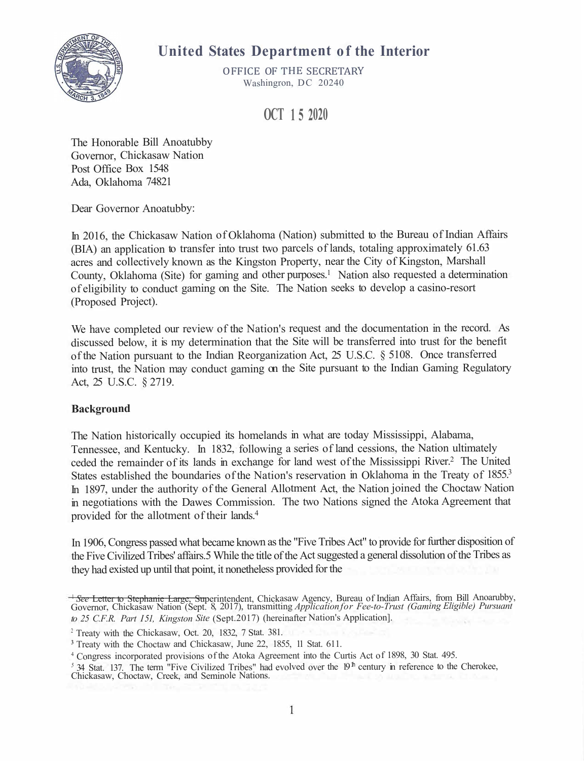

# **United States Department of the Interior**

OFFICE OF THE SECRETARY Washingron, DC 20240

**OCT 1 5 2020** 

The Honorable Bill Anoatubby Governor, Chickasaw Nation Post Office Box 1548 Ada, Oklahoma 74821

Dear Governor Anoatubby:

In 2016, the Chickasaw Nation of Oklahoma (Nation) submitted to the Bureau of Indian Affairs (BIA) an application to transfer into trust two parcels of lands, totaling approximately 61.63 acres and collectively known as the Kingston Property, near the City of Kingston, Marshall County, Oklahoma (Site) for gaming and other purposes.<sup>1</sup> Nation also requested a determination of eligibility to conduct gaming on the Site. The Nation seeks to develop a casino-resort (Proposed Project).

We have completed our review of the Nation's request and the documentation in the record. As discussed below, it is my determination that the Site will be transferred into trust for the benefit of the Nation pursuan<sup>t</sup> to the Indian Reorganization Act, <sup>25</sup> U.S.C. § 5108. Once transferred into trust, the Nation may conduct gaming on the Site pursuan<sup>t</sup> to the Indian Gaming Regulatory Act, 25 U.S.C. § 2719.

### **Background**

The Nation historically occupied its homelands in what are today Mississippi, Alabama, Tennessee, and Kentucky. In 1832, following a series of land cessions, the Nation ultimately ceded the remainder of its lands in exchange for land west of the Mississippi River.<sup>2</sup> The United States established the boundaries of the Nation's reservation in Oklahoma in the Treaty of 1855.<sup>3</sup> In 1897, under the authority of the General Allotment Act, the Nation joined the Choctaw Nation in negotiations with the Dawes Commission. The two Nations signed the Atoka Agreement that provided for the allotment of their lands.<sup>4</sup>

In 1906, Congress passed what became known as the "Five Tribes Act" to provide for further disposition of the Five Civilized Tribes' affairs.5 While the title of the Act suggested a general dissolution of the Tribes as they had existed up until that point, it nonetheless provided for the

<sup>1</sup>*See* Letter to Stephanie Large, Superintendent, Chickasaw Agency, Bureau of Indian Affairs, from Bill Anoarubby, Governor, Chickasaw Nation (Sept. 8, 2017), transmitting *Applicationfor Fee-to-Trust (Gaming Eligible) Pursuant to <sup>25</sup> C.F.R. Part I 51, Kingston Site* (Sept.2017) (hereinafter Nation's Application].

<sup>&</sup>lt;sup>2</sup> Treaty with the Chickasaw, Oct. 20, 1832, 7 Stat. 381.

**<sup>3</sup>**Treaty with the Choctaw and Chickasaw, June 22, 1855, 11 Stat. 611.

<sup>4</sup>Congress incorporated provisions of the Atoka Agreement into the Curtis Act of 1898, <sup>30</sup> Stat. 495.

<sup>&</sup>lt;sup>5</sup> 34 Stat. 137. The term "Five Civilized Tribes" had evolved over the 19<sup>th</sup> century in reference to the Cherokee, Chickasaw, Choctaw, Creek, and Seminole Nations.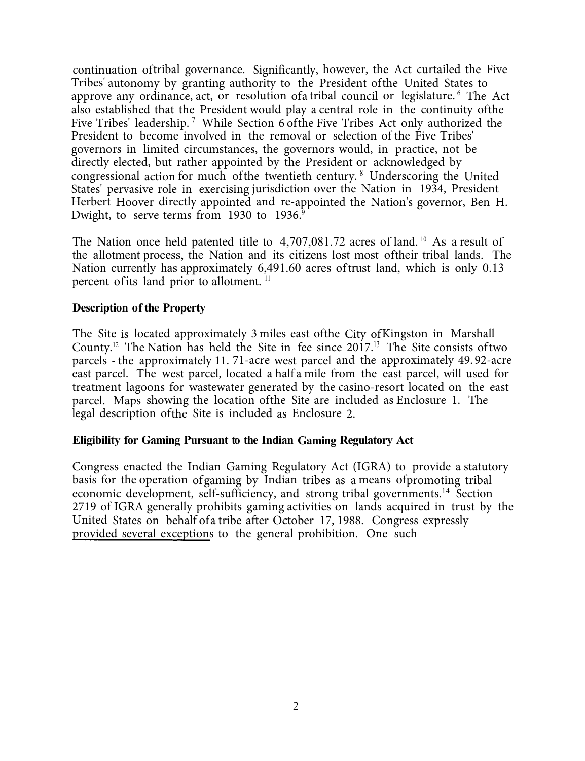continuation of tribal governance. Significantly, however, the Act curtailed the Five Tribes' autonomy by granting authority to the President of the United States to approve any ordinance, act, or resolution of a tribal council or legislature.<sup>6</sup> The Act also established that the President would play a central role in the continuity of the Five Tribes' leadership.<sup>7</sup> While Section 6 of the Five Tribes Act only authorized the President to become involved in the removal or selection of the Five Tribes' governors in limited circumstances, the governors would, in practice, not be directly elected, but rather appointed by the President or acknowledged by congressional action for much of the twentieth century.  $8$  Underscoring the United States' pervasive role in exercising jurisdiction over the Nation in 1934, President Herbert Hoover directly appointed and re-appointed the Nation's governor, Ben H. Dwight, to serve terms from 1930 to  $1936$ <sup>9</sup>

The Nation once held patented title to  $4,707,081.72$  acres of land. <sup>10</sup> As a result of the allotment process, the Nation and its citizens lost most of their tribal lands. The Nation currently has approximately 6,491.60 acres of trust land, which is only 0.13 percent of its land prior to allotment.<sup>11</sup>

#### **Description of the Property**

The Site is located approximately 3 miles east of the City of Kingston in Marshall County.<sup>12</sup> The Nation has held the Site in fee since  $2017$ .<sup>13</sup> The Site consists of two parcels -the approximately 11. 71-acre west parcel and the approximately 49. 92-acre east parcel. The west parcel, located a half a mile from the east parcel, will used for treatment lagoons for wastewater generated by the casino-resort located on the east parcel. Maps showing the location of the Site are included as Enclosure 1. The legal description of the Site is included as Enclosure 2.

#### **Eligibility for Gaming Pursuant to the Indian Gaming Regulatory Act**

Congress enacted the Indian Gaming Regulatory Act (IGRA) to provide a statutory basis for the operation of gaming by Indian tribes as a means of promoting tribal economic development, self-sufficiency, and strong tribal governments.<sup>1</sup><sup>4</sup> Section 2719 of IGRA generally prohibits gaming activities on lands acquired in trust by the United States on behalf of a tribe after October 17, 1988. Congress expressly provided several exceptions to the general prohibition. One such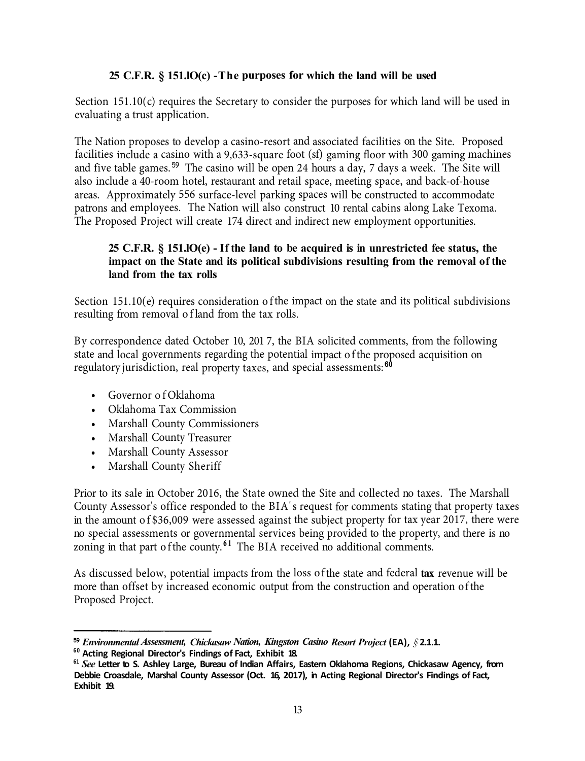#### **25 C.F.R. § 151.1(c) -The purposes for which the land will be used**

Section  $151.10(c)$  requires the Secretary to consider the purposes for which land will be used in evaluating a trust application.

The Nation proposes to develop a casino-resort and associated facilities on the Site. Proposed facilities include a casino with a 9,633-square foot (sf) gaming floor with 300 gaming machines and five table games.<sup>59</sup> The casino will be open 24 hours a day, 7 days a week. The Site will also include a 40-room hotel, restaurant and retail space, meeting space, and back-of-house areas. Approximately 556 surface-level parking spaces will be constructed to accommodate patrons and employees. The Nation will also construct 10 rental cabins along Lake Texoma. The Proposed Project will create 174 direct and indirect new employment opportunities.

#### **25 C.F.R. § 151.1(e) - If the land to be acquired is in unrestricted fee status, the impact on the State and its political subdivisions resulting from the removal of the land from the tax rolls**

Section 151.10(e) requires consideration of the impact on the state and its political subdivisions resulting from removal of land from the tax rolls.

By correspondence dated October 10, 201 7, the BIA solicited comments, from the following state and local governments regarding the potential impact of the proposed acquisition on regulatory jurisdiction, real property taxes, and special assessments: 82

- Governor of Oklahoma
- Oklahoma Tax Commission
- Marshall County Commissioners
- Marshall County Treasurer
- Marshall County Assessor
- Marshall County Sheriff

Prior to its sale in October 2016, the State owned the Site and collected no taxes. The Marshall County Assessor's office responded to the BIA' s request for comments stating that property taxes in the amount of \$36,009 were assessed against the subject property for tax year 2017, there were no special assessments or governmental services being provided to the property, and there is no zoning in that part of the county.<sup>61</sup> The BIA received no additional comments.

As discussed below, potential impacts from the loss of the state and federal **tax** revenue will be more than offset by increased economic output from the construction and operation of the Proposed Project.

<sup>59</sup> *Environmental Assessment, Chickasaw Nation, Kingston Casino Resort Project* (EA), *§* 2.1.1.

 $^{60}_{60}$  Acting Regional Director's Findings of Fact, Exhibit 18.

<sup>61</sup> *See* Letter to S. Ashley Large, Bureau of Indian Affairs, Eastern Oklahoma Regions, Chickasaw Agency, from Debbie Croasdale, Marshal County Assessor (Oct. 16, 2017), in Acting Regional Director's Findings of Fact, Exhibit 19.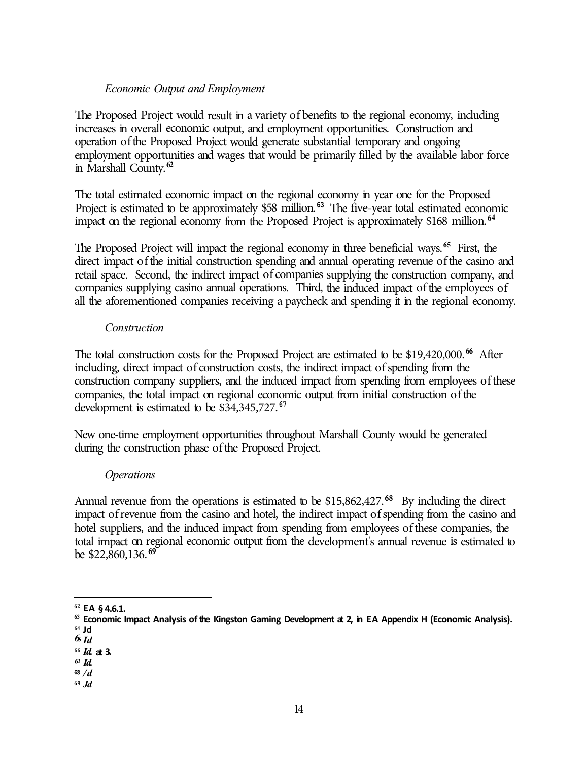#### *Economic Output and Employment*

The Proposed Project would result in a variety of benefits to the regional economy, including increases in overall economic output, and employment opportunities. Construction and operation of the Proposed Project would generate substantial temporary and ongoing employment opportunities and wages that would be primarily filled by the available labor force in Marshall County.<sup>62</sup>

The total estimated economic impact on the regional economy in year one for the Proposed Project is estimated to be approximately \$58 million.<sup>63</sup> The five-year total estimated economic impact on the regional economy from the Proposed Project is approximately \$168 million. 64

The Proposed Project will impact the regional economy in three beneficial ways.<sup>65</sup> First, the direct impact of the initial construction spending and annual operating revenue of the casino and retail space. Second, the indirect impact of companies supplying the construction company, and companies supplying casino annual operations. Third, the induced impact of the employees of all the aforementioned companies receiving a paycheck and spending it in the regional economy.

#### *Construction*

The total construction costs for the Proposed Project are estimated to be \$19,420,000.<sup>66</sup> After including, direct impact of construction costs, the indirect impact of spending from the construction company suppliers, and the induced impact from spending from employees of these companies, the total impact on regional economic output from initial construction of the development is estimated to be \$34,345,727. **67** 

New one-time employment opportunities throughout Marshall County would be generated during the construction phase of the Proposed Project.

#### *Operations*

Annual revenue from the operations is estimated to be  $$15,862,427$ .<sup>68</sup> By including the direct impact of revenue from the casino and hotel, the indirect impact of spending from the casino and hotel suppliers, and the induced impact from spending from employees of these companies, the total impact on regional economic output from the development's annual revenue is estimated to be \$22,860,136. **<sup>69</sup>**

**<sup>69</sup>***Jd* 

**<sup>62</sup> EA § 4.6.1.** 

**<sup>63</sup> Economic Impact Analysis of the Kingston Gaming Development at 2, in EA Appendix H (Economic Analysis). <sup>64</sup>Jd** 

*<sup>6</sup>s Id* 

**<sup>66</sup>***Id.* **at 3.** 

*<sup>61</sup>Id.*  <sup>68</sup>*/d*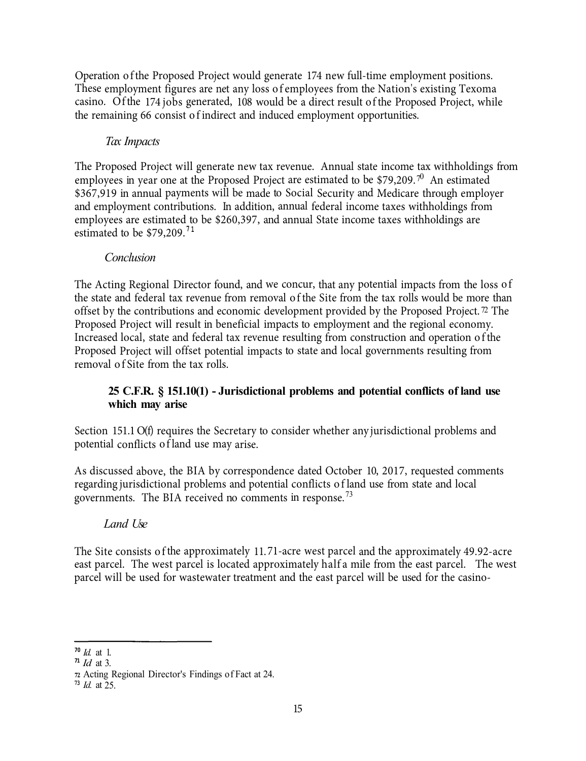Operation of the Proposed Project would generate 174 new full-time employment positions. These employment figures are net any loss of employees from the Nation's existing Texoma casino. Of the 174 jobs generated, 108 would be a direct result of the Proposed Project, while the remaining 66 consist of indirect and induced employment opportunities.

# *Tax Impacts*

The Proposed Project will generate new tax revenue. Annual state income tax withholdings from employees in year one at the Proposed Project are estimated to be \$79,209.<sup>70</sup> An estimated \$367,919 in annual payments will be made to Social Security and Medicare through employer and employment contributions. In addition, annual federal income taxes withholdings from employees are estimated to be \$260,397, and annual State income taxes withholdings are estimated to be \$79,209.**<sup>7</sup> <sup>1</sup>**

# *Conclusion*

The Acting Regional Director found, and we concur, that any potential impacts from the loss of the state and federal tax revenue from removal of the Site from the tax rolls would be more than offset by the contributions and economic development provided by the Proposed Project.  $\sqrt{2}$  The Proposed Project will result in beneficial impacts to employment and the regional economy. Increased local, state and federal tax revenue resulting from construction and operation of the Proposed Project will offset potential impacts to state and local governments resulting from removal of Site from the tax rolls.

## **25 C.F.R. § 151.10(1) - Jurisdictional problems and potential conflicts of land use which may arise**

Section 151.1 O(f) requires the Secretary to consider whether any jurisdictional problems and potential conflicts of land use may arise.

As discussed above, the BIA by correspondence dated October 10, 2017, requested comments regarding jurisdictional problems and potential conflicts of land use from state and local governments. The BIA received no comments in response.<sup>73</sup>

# *Land Use*

The Site consists of the approximately 11. 71-acre west parcel and the approximately 49.92-acre east parcel. The west parcel is located approximately half a mile from the east parcel. The west parcel will be used for wastewater treatment and the east parcel will be used for the casino-

**<sup>70</sup>***Id.* at 1.

**<sup>71</sup>***Id* at 3.

**<sup>72</sup>**Acting Regional Director's Findings of Fact at 24.

**<sup>73</sup>***Id.* at 25.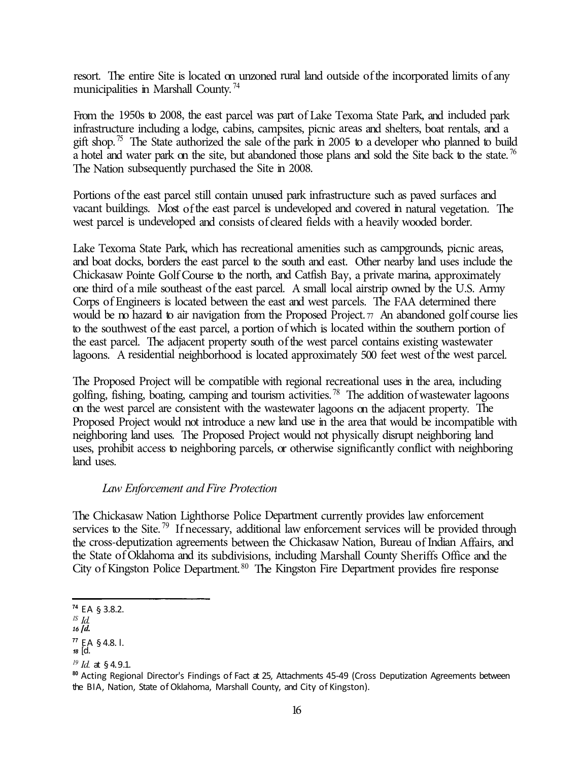resort. The entire Site is located on unzoned rural land outside of the incorporated limits of any municipalities in Marshall County.<sup>74</sup>

From the 1950s to 2008, the east parcel was part of Lake Texoma State Park, and included park infrastructure including a lodge, cabins, campsites, picnic areas and shelters, boat rentals, and a gift shop.<sup>75</sup> The State authorized the sale of the park in 2005 to a developer who planned to build a hotel and water park on the site, but abandoned those plans and sold the Site back to the state.<sup>76</sup> The Nation subsequently purchased the Site in 2008.

Portions of the east parcel still contain unused park infrastructure such as paved surfaces and vacant buildings. Most of the east parcel is undeveloped and covered in natural vegetation. The west parcel is undeveloped and consists of cleared fields with a heavily wooded border.

Lake Texoma State Park, which has recreational amenities such as campgrounds, picnic areas, and boat docks, borders the east parcel to the south and east. Other nearby land uses include the Chickasaw Pointe Golf Course to the north, and Catfish Bay, a private marina, approximately one third of a mile southeast of the east parcel. A small local airstrip owned by the U.S. Army Corps of Engineers is located between the east and west parcels. The FAA determined there would be no hazard to air navigation from the Proposed Project.  $\pi$  An abandoned golf course lies to the southwest of the east parcel, a portion of which is located within the southern portion of the east parcel. The adjacent property south of the west parcel contains existing wastewater lagoons. A residential neighborhood is located approximately 500 feet west of the west parcel.

The Proposed Project will be compatible with regional recreational uses in the area, including golfing, fishing, boating, camping and tourism activities.<sup>78</sup> The addition of wastewater lagoons on the west parcel are consistent with the wastewater lagoons on the adjacent property. The Proposed Project would not introduce a new land use in the area that would be incompatible with neighboring land uses. The Proposed Project would not physically disrupt neighboring land uses, prohibit access to neighboring parcels, or otherwise significantly conflict with neighboring land uses.

# *Law Enforcement and Fire Protection*

The Chickasaw Nation Lighthorse Police Department currently provides law enforcement services to the Site.<sup>79</sup> If necessary, additional law enforcement services will be provided through the cross-deputization agreements between the Chickasaw Nation, Bureau of Indian Affairs, and the State of Oklahoma and its subdivisions, including Marshall County Sheriffs Office and the City of Kingston Police Department.  $80$  The Kingston Fire Department provides fire response

**<sup>74</sup>**EA § 3.8.2.

*<sup>1</sup>S Id.* 

*<sup>16</sup>[d.* 

**<sup>77</sup>** EA § 4.8. l. *<sup>18</sup>*[d.

*<sup>19</sup> Id.* at § 4. 9 .1.

**<sup>80</sup>**Acting Regional Director's Findings of Fact at 25, Attachments 45-49 (Cross Deputization Agreements between the BIA, Nation, State of Oklahoma, Marshall County, and City of Kingston).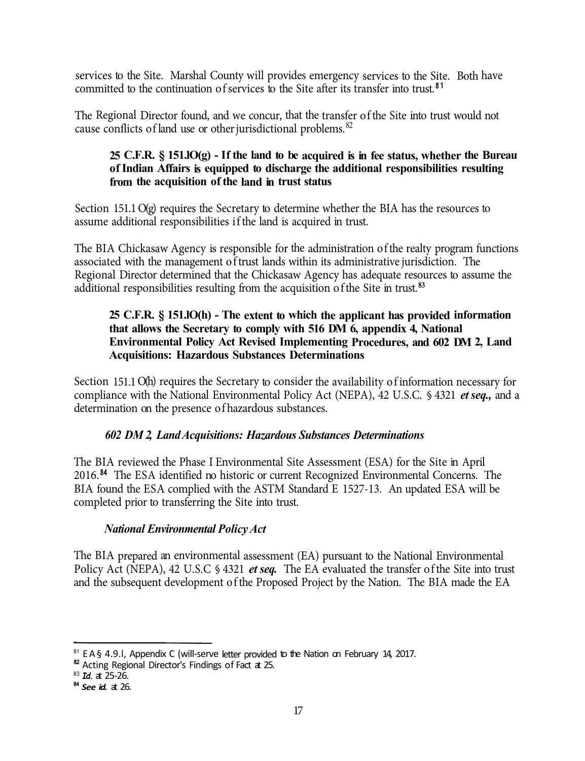services to the Site. Marshal County will provides emergency services to the Site. Both have committed to the continuation of services to the Site after its transfer into trust.<sup>81</sup>

The Regional Director found, and we concur, that the transfer of the Site into trust would not cause conflicts of land use or other jurisdictional problems. <sup>82</sup>

### **25 C.F.R. § 151.lO(g) - If the land to be acquired is in fee status, whether the Bureau of Indian Affairs is equipped to discharge the additional responsibilities resulting from the acquisition of the land in trust status**

Section 151.1 O(g) requires the Secretary to determine whether the BIA has the resources to assume additional responsibilities if the land is acquired in trust.

The BIA Chickasaw Agency is responsible for the administration of the realty program functions associated with the management of trust lands within its administrative jurisdiction. The Regional Director determined that the Chickasaw Agency has adequate resources to assume the additional responsibilities resulting from the acquisition of the Site in trust. **<sup>83</sup>**

### **25 C.F.R. § 151.lO(h) - The extent to which the applicant has provided information that allows the Secretary to comply with 516 DM 6, appendix 4, National Environmental Policy Act Revised Implementing Procedures, and 602 DM 2, Land Acquisitions: Hazardous Substances Determinations**

Section 151.1 O(h) requires the Secretary to consider the availability of information necessary for compliance with the National Environmental Policy Act (NEPA), 42 U.S.C. § 4321 *et seq.,* and a determination on the presence of hazardous substances.

# *602 DM 2, Land Acquisitions: Hazardous Substances Determinations*

The BIA reviewed the Phase I Environmental Site Assessment (ESA) for the Site in April 2016.<sup>84</sup> The ESA identified no historic or current Recognized Environmental Concerns. The BIA found the ESA complied with the ASTM Standard E 1527-13. An updated ESA will be completed prior to transferring the Site into trust.

# *National Environmental Policy Act*

The BIA prepared an environmental assessment (EA) pursuant to the National Environmental Policy Act (NEPA), 42 U.S.C § 4321 *et seq.* The EA evaluated the transfer of the Site into trust and the subsequent development of the Proposed Project by the Nation. The BIA made the EA

<sup>&</sup>lt;sup>81</sup> EA§ 4.9.1. Appendix C (will-serve letter provided to the Nation on February 14, 2017.

<sup>82</sup> Acting Regional Director's Findings of Fact at 25.

<sup>83</sup>*Id.* at 25-26.

<sup>84</sup>*See id.* at 26.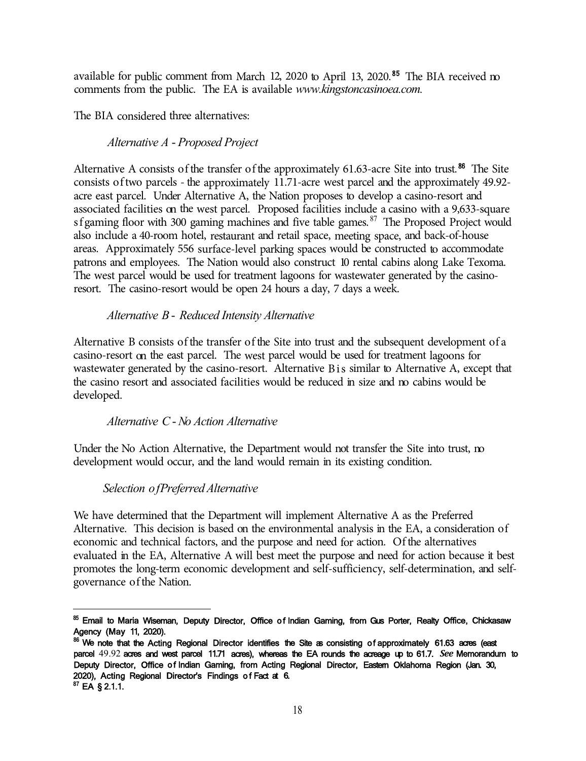available for public comment from March 12, 2020 to April 13, 2020.<sup>85</sup> The BIA received no comments from the public. The EA is available *www.kingstoncasinoea.com.* 

The BIA considered three alternatives:

# *Alternative A* - *Proposed Project*

Alternative A consists of the transfer of the approximately  $61.63$ -acre Site into trust.<sup>86</sup> The Site consists of two parcels - the approximately  $11.71$ -acre west parcel and the approximately 49.92acre east parcel. Under Alternative A, the Nation proposes to develop a casino-resort and associated facilities on the west parcel. Proposed facilities include a casino with a 9,633-square sf gaming floor with 300 gaming machines and five table games.  $87$  The Proposed Project would also include a 40-room hotel, restaurant and retail space, meeting space, and back-of-house areas. Approximately 556 surface-level parking spaces would be constructed to accommodate patrons and employees. The Nation would also construct 10 rental cabins along Lake Texoma. The west parcel would be used for treatment lagoons for wastewater generated by the casinoresort. The casino-resort would be open 24 hours a day, 7 days a week.

## *Alternative B* - *Reduced Intensity Alternative*

Alternative B consists of the transfer of the Site into trust and the subsequent development of a casino-resort on the east parcel. The west parcel would be used for treatment lagoons for wastewater generated by the casino-resort. Alternative Bis similar to Alternative A, except that the casino resort and associated facilities would be reduced in size and no cabins would be developed.

# *Alternative C* -*No Action Alternative*

Under the No Action Alternative, the Department would not transfer the Site into trust, no development would occur, and the land would remain in its existing condition.

# *Selection of Preferred Alternative*

We have determined that the Department will implement Alternative A as the Preferred Alternative. This decision is based on the environmental analysis in the EA, a consideration of economic and technical factors, and the purpose and need for action. Of the alternatives evaluated in the EA, Alternative A will best meet the purpose and need for action because it best promotes the long-term economic development and self-sufficiency, self-determination, and selfgovernance of the Nation.

**<sup>85</sup>**Email to Maria Wiseman, Deputy Director, Office of Indian Gaming, from Gus Porter, Realty Office, Chickasaw Agency (May 11, 2020).

**<sup>86</sup>**We note that the Acting Regional Director identifies the Site as consisting of approximately 61.63 acres (east parcel 49.92 acres and west parcel 11.71 acres), whereas the EA rounds the acreage up to 61.7. *See* Memorandum to Deputy Director, Office of Indian Gaming, from Acting Regional Director, Eastem Oklahoma Region (Jan. 30, 2020), Acting Regional Director's Findings of Fact at 6.

**<sup>87</sup>**EA § 2.1.1.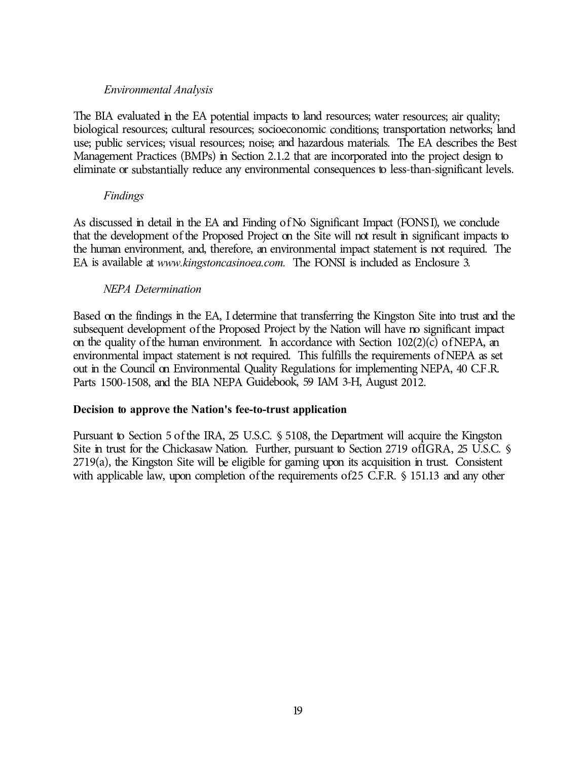#### *Environmental Analysis*

The BIA evaluated in the EA potential impacts to land resources; water resources; air quality; biological resources; cultural resources; socioeconomic conditions; transportation networks; land use; public services; visual resources; noise; and hazardous materials. The EA describes the Best Management Practices (BMPs) in Section 2.1.2 that are incorporated into the project design to eliminate or substantially reduce any environmental consequences to less-than-significant levels.

#### *Findings*

As discussed in detail in the EA and Finding of No Significant Impact (FONS I), we conclude that the development of the Proposed Project on the Site will not result in significant impacts to the human environment, and, therefore, an environmental impact statement is not required. The EA is available at *www.kingstoncasinoea.com.* The FONSI is included as Enclosure 3.

#### *NEPA Determination*

Based on the findings in the EA, I determine that transferring the Kingston Site into trust and the subsequent development of the Proposed Project by the Nation will have no significant impact on the quality of the human environment. In accordance with Section  $102(2)(c)$  of NEPA, an environmental impact statement is not required. This fulfills the requirements of NEPA as set out in the Council on Environmental Quality Regulations for implementing NEPA, 40 C.F .R. Parts 1500-1508, and the BIA NEPA Guidebook, 59 IAM 3-H, August 2012.

#### **Decision to approve the Nation's fee-to-trust application**

Pursuant to Section 5 of the IRA, 25 U.S.C. § 5108, the Department will acquire the Kingston Site in trust for the Chickasaw Nation. Further, pursuant to Section 2719 ofIGRA, 25 U.S.C. § 2719(a), the Kingston Site will be eligible for gaming upon its acquisition in trust. Consistent with applicable law, upon completion of the requirements of 25 C.F.R. § 151.13 and any other